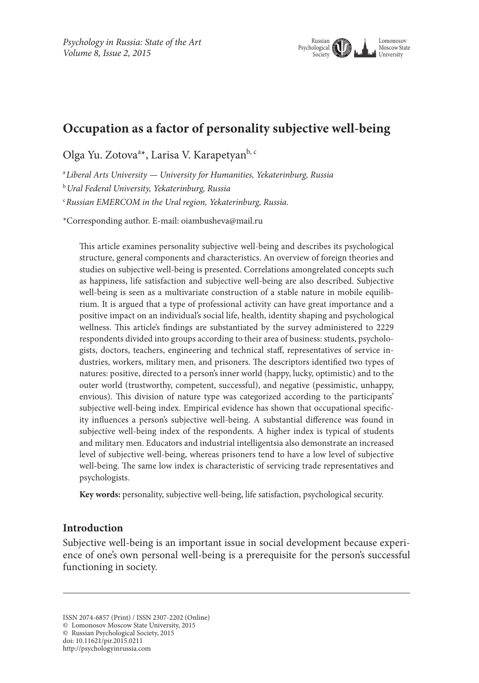

# **Occupation as a factor of personality subjective well-being**

Olga Yu. Zotova<sup>a\*</sup>, Larisa V. Karapetyan<sup>b, c</sup>

a *Liberal Arts University — University for Humanities, Yekaterinburg, Russia* <sup>b</sup>*Ural Federal University, Yekaterinburg, Russia* c *Russian EMERCOM in the Ural region, Yekaterinburg, Russia.*

\*Corresponding author. E-mail: oiambusheva@mail.ru

This article examines personality subjective well-being and describes its psychological structure, general components and characteristics. An overview of foreign theories and studies on subjective well-being is presented. Correlations amongrelated concepts such as happiness, life satisfaction and subjective well-being are also described. Subjective well-being is seen as a multivariate construction of a stable nature in mobile equilibrium. It is argued that a type of professional activity can have great importance and a positive impact on an individual's social life, health, identity shaping and psychological wellness. This article's findings are substantiated by the survey administered to 2229 respondents divided into groups according to their area of business: students, psychologists, doctors, teachers, engineering and technical staff, representatives of service industries, workers, military men, and prisoners. The descriptors identified two types of natures: positive, directed to a person's inner world (happy, lucky, optimistic) and to the outer world (trustworthy, competent, successful), and negative (pessimistic, unhappy, envious). This division of nature type was categorized according to the participants' subjective well-being index. Empirical evidence has shown that occupational specificity influences a person's subjective well-being. A substantial difference was found in subjective well-being index of the respondents. A higher index is typical of students and military men. Educators and industrial intelligentsia also demonstrate an increased level of subjective well-being, whereas prisoners tend to have a low level of subjective well-being. The same low index is characteristic of servicing trade representatives and psychologists.

**Key words:** personality, subjective well-being, life satisfaction, psychological security.

#### **Introduction**

Subjective well-being is an important issue in social development because experience of one's own personal well-being is a prerequisite for the person's successful functioning in society.

ISSN 2074-6857 (Print) / ISSN 2307-2202 (Online)

<sup>©</sup> Lomonosov Moscow State University, 2015

<sup>©</sup> Russian Psychological Society, 2015

doi: 10.11621/pir.2015.0211

http://psychologyinrussia.com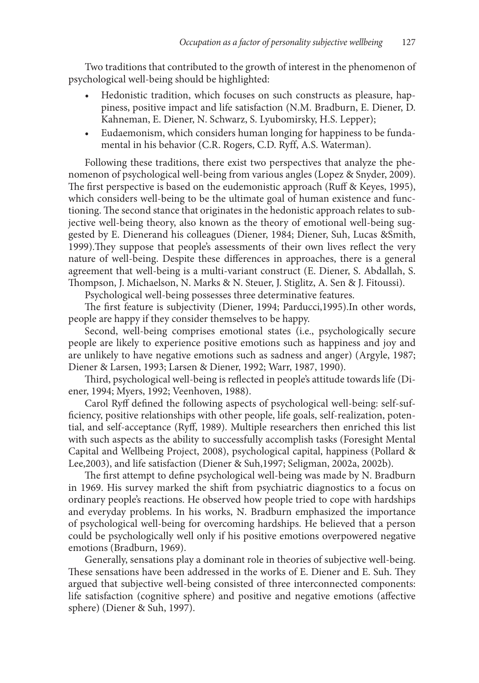Two traditions that contributed to the growth of interest in the phenomenon of psychological well-being should be highlighted:

- Hedonistic tradition, which focuses on such constructs as pleasure, happiness, positive impact and life satisfaction (N.M. Bradburn, E. Diener, D. Kahneman, E. Diener, N. Schwarz, S. Lyubomirsky, H.S. Lepper);
- Eudaemonism, which considers human longing for happiness to be fundamental in his behavior (C.R. Rogers, C.D. Ryff, A.S. Waterman).

Following these traditions, there exist two perspectives that analyze the phenomenon of psychological well-being from various angles (Lopez & Snyder, 2009). The first perspective is based on the eudemonistic approach (Ruff & Keyes, 1995), which considers well-being to be the ultimate goal of human existence and functioning. The second stance that originates in the hedonistic approach relates to subjective well-being theory, also known as the theory of emotional well-being suggested by E. Dienerand his colleagues (Diener, 1984; Diener, Suh, Lucas &Smith, 1999).They suppose that people's assessments of their own lives reflect the very nature of well-being. Despite these differences in approaches, there is a general agreement that well-being is a multi-variant construct (E. Diener, S. Abdallah, S. Thompson, J. Michaelson, N. Marks & N. Steuer, J. Stiglitz, A. Sen & J. Fitoussi).

Psychological well-being possesses three determinative features.

The first feature is subjectivity (Diener, 1994; Parducci,1995).In other words, people are happy if they consider themselves to be happy.

Second, well-being comprises emotional states (i.e., psychologically secure people are likely to experience positive emotions such as happiness and joy and are unlikely to have negative emotions such as sadness and anger) (Argyle, 1987; Diener & Larsen, 1993; Larsen & Diener, 1992; Warr, 1987, 1990).

Third, psychological well-being is reflected in people's attitude towards life (Diener, 1994; Myers, 1992; Veenhoven, 1988).

Carol Ryff defined the following aspects of psychological well-being: self-sufficiency, positive relationships with other people, life goals, self-realization, potential, and self-acceptance (Ryff, 1989). Multiple researchers then enriched this list with such aspects as the ability to successfully accomplish tasks (Foresight Mental Capital and Wellbeing Project, 2008), psychological capital, happiness (Pollard & Lee,2003), and life satisfaction (Diener & Suh,1997; Seligman, 2002а, 2002b).

The first attempt to define psychological well-being was made by N. Bradburn in 1969. His survey marked the shift from psychiatric diagnostics to a focus on ordinary people's reactions. He observed how people tried to cope with hardships and everyday problems. In his works, N. Bradburn emphasized the importance of psychological well-being for overcoming hardships. He believed that a person could be psychologically well only if his positive emotions overpowered negative emotions (Bradburn, 1969).

Generally, sensations play a dominant role in theories of subjective well-being. These sensations have been addressed in the works of E. Diener and E. Suh. They argued that subjective well-being consisted of three interconnected components: life satisfaction (cognitive sphere) and positive and negative emotions (affective sphere) (Diener & Suh, 1997).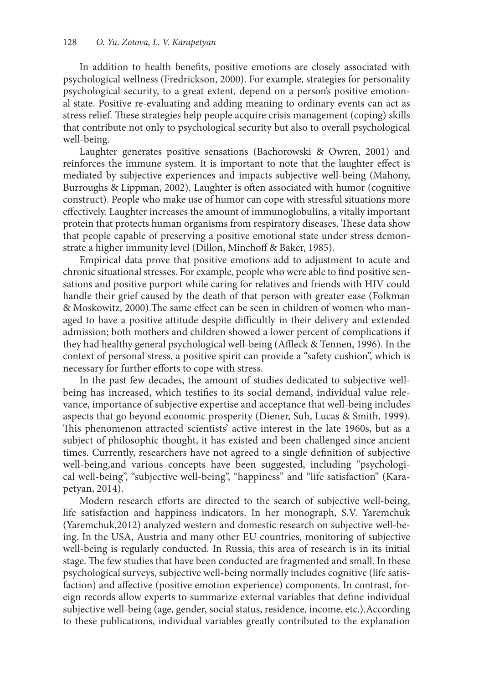In addition to health benefits, positive emotions are closely associated with psychological wellness (Fredrickson, 2000). For example, strategies for personality psychological security, to a great extent, depend on a person's positive emotional state. Positive re-evaluating and adding meaning to ordinary events can act as stress relief. These strategies help people acquire crisis management (coping) skills that contribute not only to psychological security but also to overall psychological well-being.

Laughter generates positive sensations (Bachorowski & Owren, 2001) and reinforces the immune system. It is important to note that the laughter effect is mediated by subjective experiences and impacts subjective well-being (Mahony, Burroughs & Lippman, 2002). Laughter is often associated with humor (cognitive construct). People who make use of humor can cope with stressful situations more effectively. Laughter increases the amount of immunoglobulins, a vitally important protein that protects human organisms from respiratory diseases. These data show that people capable of preserving a positive emotional state under stress demonstrate a higher immunity level (Dillon, Minchoff & Baker, 1985).

Empirical data prove that positive emotions add to adjustment to acute and chronic situational stresses. For example, people who were able to find positive sensations and positive purport while caring for relatives and friends with HIV could handle their grief caused by the death of that person with greater ease (Folkman & Moskowitz, 2000).The same effect can be seen in children of women who managed to have a positive attitude despite difficultly in their delivery and extended admission; both mothers and children showed a lower percent of complications if they had healthy general psychological well-being (Affleck & Tennen, 1996). In the context of personal stress, a positive spirit can provide a "safety cushion", which is necessary for further efforts to cope with stress.

In the past few decades, the amount of studies dedicated to subjective wellbeing has increased, which testifies to its social demand, individual value relevance, importance of subjective expertise and acceptance that well-being includes aspects that go beyond economic prosperity (Diener, Suh, Lucas & Smith, 1999). This phenomenon attracted scientists' active interest in the late 1960s, but as a subject of philosophic thought, it has existed and been challenged since ancient times. Currently, researchers have not agreed to a single definition of subjective well-being,and various concepts have been suggested, including "psychological well-being", "subjective well-being", "happiness" and "life satisfaction" (Karapetyan, 2014).

Modern research efforts are directed to the search of subjective well-being, life satisfaction and happiness indicators. In her monograph, S.V. Yaremchuk (Yaremchuk,2012) analyzed western and domestic research on subjective well-being. In the USA, Austria and many other EU countries, monitoring of subjective well-being is regularly conducted. In Russia, this area of research is in its initial stage. The few studies that have been conducted are fragmented and small. In these psychological surveys, subjective well-being normally includes cognitive (life satisfaction) and affective (positive emotion experience) components. In contrast, foreign records allow experts to summarize external variables that define individual subjective well-being (age, gender, social status, residence, income, etc.).According to these publications, individual variables greatly contributed to the explanation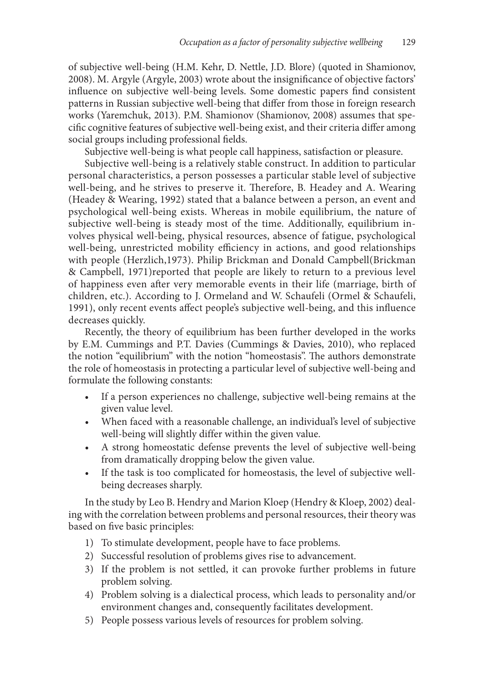of subjective well-being (H.M. Kehr, D. Nettle, J.D. Blore) (quoted in Shamionov, 2008). М. Argyle (Argyle, 2003) wrote about the insignificance of objective factors' influence on subjective well-being levels. Some domestic papers find consistent patterns in Russian subjective well-being that differ from those in foreign research works (Yaremchuk, 2013). P.M. Shamionov (Shamionov, 2008) assumes that specific cognitive features of subjective well-being exist, and their criteria differ among social groups including professional fields.

Subjective well-being is what people call happiness, satisfaction or pleasure.

Subjective well-being is a relatively stable construct. In addition to particular personal characteristics, a person possesses a particular stable level of subjective well-being, and he strives to preserve it. Therefore, B. Headey and A. Wearing (Headey & Wearing, 1992) stated that a balance between a person, an event and psychological well-being exists. Whereas in mobile equilibrium, the nature of subjective well-being is steady most of the time. Additionally, equilibrium involves physical well-being, physical resources, absence of fatigue, psychological well-being, unrestricted mobility efficiency in actions, and good relationships with people (Herzlich,1973). Philip Brickman and Donald Campbell(Brickman & Campbell, 1971)reported that people are likely to return to a previous level of happiness even after very memorable events in their life (marriage, birth of children, etc.). According to J. Ormeland and W. Schaufeli (Ormel & Schaufeli, 1991), only recent events affect people's subjective well-being, and this influence decreases quickly.

Recently, the theory of equilibrium has been further developed in the works by E.M. Cummings and P.T. Davies (Cummings & Davies, 2010), who replaced the notion "equilibrium" with the notion "homeostasis". The authors demonstrate the role of homeostasis in protecting a particular level of subjective well-being and formulate the following constants:

- If a person experiences no challenge, subjective well-being remains at the given value level.
- When faced with a reasonable challenge, an individual's level of subjective well-being will slightly differ within the given value.
- A strong homeostatic defense prevents the level of subjective well-being from dramatically dropping below the given value.
- If the task is too complicated for homeostasis, the level of subjective wellbeing decreases sharply.

In the study by Leo B. Hendry and Marion Kloep (Hendry & Kloep, 2002) dealing with the correlation between problems and personal resources, their theory was based on five basic principles:

- 1) To stimulate development, people have to face problems.
- 2) Successful resolution of problems gives rise to advancement.
- 3) If the problem is not settled, it can provoke further problems in future problem solving.
- 4) Problem solving is a dialectical process, which leads to personality and/or environment changes and, consequently facilitates development.
- 5) People possess various levels of resources for problem solving.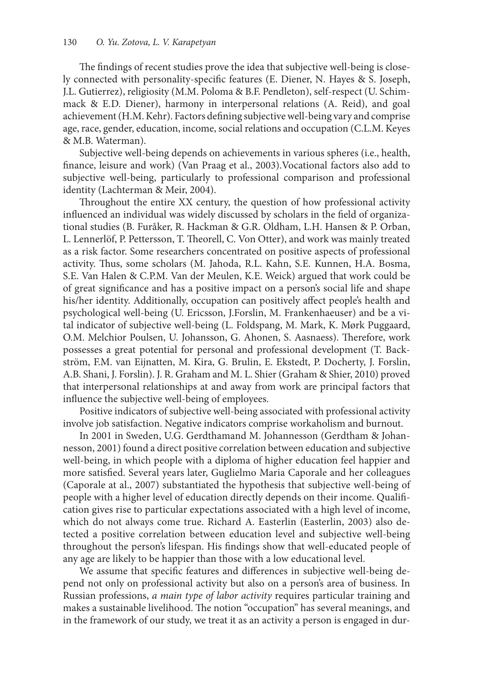The findings of recent studies prove the idea that subjective well-being is closely connected with personality-specific features (E. Diener, N. Hayes & S. Joseph, J.L. Gutierrez), religiosity (M.M. Poloma & B.F. Pendleton), self-respect (U. Schimmack & E.D. Diener), harmony in interpersonal relations (A. Reid), and goal achievement (H.M. Kehr). Factors defining subjective well-being vary and comprise age, race, gender, education, income, social relations and occupation (C.L.M. Keyes & M.B. Waterman).

Subjective well-being depends on achievements in various spheres (i.e., health, finance, leisure and work) (Van Praag et al., 2003).Vocational factors also add to subjective well-being, particularly to professional comparison and professional identity (Lachterman & Meir, 2004).

Throughout the entire XX century, the question of how professional activity influenced an individual was widely discussed by scholars in the field of organizational studies (B. Furåker, R. Hackman & G.R. Oldham, L.H. Hansen & P. Orban, L. Lennerlöf, P. Pettersson, T. Theorell, C. Von Otter), and work was mainly treated as a risk factor. Some researchers concentrated on positive aspects of professional activity. Thus, some scholars (M. Jahoda, R.L. Kahn, S.E. Kunnen, H.A. Bosma, S.E. Van Halen & C.P.M. Van der Meulen, K.E. Weick) argued that work could be of great significance and has a positive impact on a person's social life and shape his/her identity. Additionally, occupation can positively affect people's health and psychological well-being (U. Ericsson, J.Forslin, M. Frankenhaeuser) and be a vital indicator of subjective well-being (L. Foldspang, M. Mark, K. Mørk Puggaard, O.M. Melchior Poulsen, U. Johansson, G. Ahonen, S. Aasnaess). Therefore, work possesses a great potential for personal and professional development (T. Backström, F.M. van Eijnatten, M. Kira, G. Brulin, E. Ekstedt, P. Docherty, J. Forslin, A.B. Shani, J. Forslin). J. R. Graham and M. L. Shier (Graham & Shier, 2010) proved that interpersonal relationships at and away from work are principal factors that influence the subjective well-being of employees.

Positive indicators of subjective well-being associated with professional activity involve job satisfaction. Negative indicators comprise workaholism and burnout.

In 2001 in Sweden, U.G. Gerdthamand M. Johannesson (Gerdtham & Johannesson, 2001) found a direct positive correlation between education and subjective well-being, in which people with a diploma of higher education feel happier and more satisfied. Several years later, Guglielmo Maria Caporale and her colleagues (Caporale at al., 2007) substantiated the hypothesis that subjective well-being of people with a higher level of education directly depends on their income. Qualification gives rise to particular expectations associated with a high level of income, which do not always come true. Richard A. Easterlin (Easterlin, 2003) also detected a positive correlation between education level and subjective well-being throughout the person's lifespan. His findings show that well-educated people of any age are likely to be happier than those with a low educational level.

We assume that specific features and differences in subjective well-being depend not only on professional activity but also on a person's area of business. In Russian professions, *a main type of labor activity* requires particular training and makes a sustainable livelihood. The notion "occupation" has several meanings, and in the framework of our study, we treat it as an activity a person is engaged in dur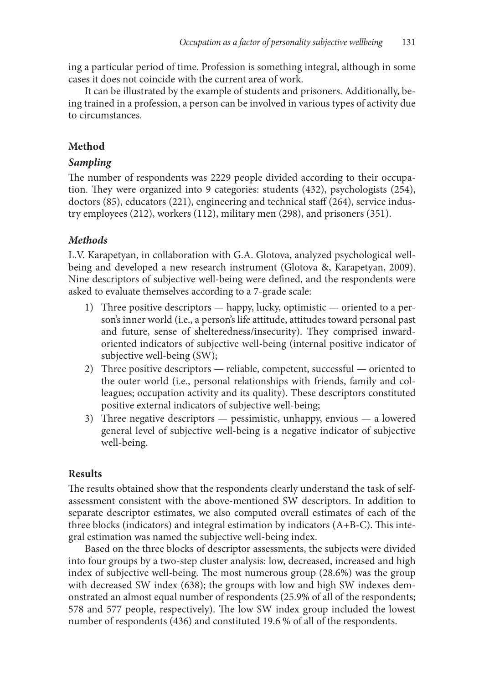ing a particular period of time. Profession is something integral, although in some cases it does not coincide with the current area of work.

It can be illustrated by the example of students and prisoners. Additionally, being trained in a profession, a person can be involved in various types of activity due to circumstances.

### **Method**

#### *Sampling*

The number of respondents was 2229 people divided according to their occupation. They were organized into 9 categories: students (432), psychologists (254), doctors (85), educators (221), engineering and technical staff (264), service industry employees (212), workers (112), military men (298), and prisoners (351).

# *Methods*

L.V. Karapetyan, in collaboration with G.A. Glotova, analyzed psychological wellbeing and developed a new research instrument (Glotova &, Karapetyan, 2009). Nine descriptors of subjective well-being were defined, and the respondents were asked to evaluate themselves according to a 7-grade scale:

- 1) Three positive descriptors happy, lucky, optimistic oriented to a person's inner world (i.e., a person's life attitude, attitudes toward personal past and future, sense of shelteredness/insecurity). They comprised inwardoriented indicators of subjective well-being (internal positive indicator of subjective well-being (SW);
- 2) Three positive descriptors reliable, competent, successful oriented to the outer world (i.e., personal relationships with friends, family and colleagues; occupation activity and its quality). These descriptors constituted positive external indicators of subjective well-being;
- 3) Three negative descriptors pessimistic, unhappy, envious a lowered general level of subjective well-being is a negative indicator of subjective well-being.

# **Results**

The results obtained show that the respondents clearly understand the task of selfassessment consistent with the above-mentioned SW descriptors. In addition to separate descriptor estimates, we also computed overall estimates of each of the three blocks (indicators) and integral estimation by indicators (А+В-С). This integral estimation was named the subjective well-being index.

Based on the three blocks of descriptor assessments, the subjects were divided into four groups by a two-step cluster analysis: low, decreased, increased and high index of subjective well-being. The most numerous group (28.6%) was the group with decreased SW index (638); the groups with low and high SW indexes demonstrated an almost equal number of respondents (25.9% of all of the respondents; 578 and 577 people, respectively). The low SW index group included the lowest number of respondents (436) and constituted 19.6 % of all of the respondents.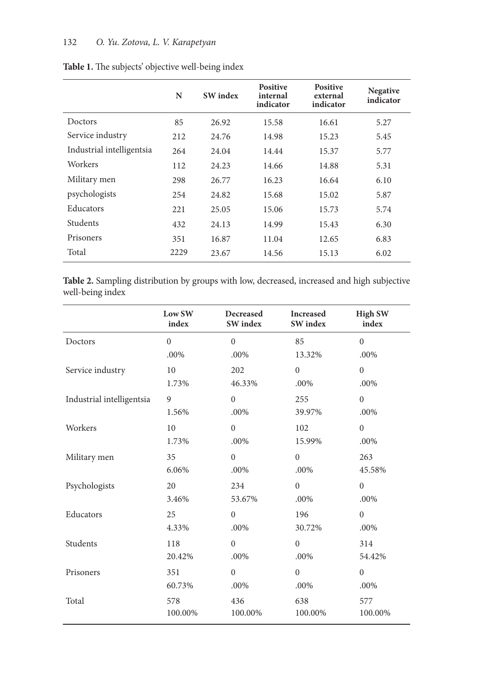|                           | N    | <b>SW</b> index | <b>Positive</b><br>internal<br>indicator | <b>Positive</b><br>external<br>indicator | <b>Negative</b><br>indicator |
|---------------------------|------|-----------------|------------------------------------------|------------------------------------------|------------------------------|
| Doctors                   | 85   | 26.92           | 15.58                                    | 16.61                                    | 5.27                         |
| Service industry          | 212  | 24.76           | 14.98                                    | 15.23                                    | 5.45                         |
| Industrial intelligentsia | 264  | 24.04           | 14.44                                    | 15.37                                    | 5.77                         |
| Workers                   | 112  | 24.23           | 14.66                                    | 14.88                                    | 5.31                         |
| Military men              | 298  | 26.77           | 16.23                                    | 16.64                                    | 6.10                         |
| psychologists             | 254  | 24.82           | 15.68                                    | 15.02                                    | 5.87                         |
| Educators                 | 221  | 25.05           | 15.06                                    | 15.73                                    | 5.74                         |
| Students                  | 432  | 24.13           | 14.99                                    | 15.43                                    | 6.30                         |
| Prisoners                 | 351  | 16.87           | 11.04                                    | 12.65                                    | 6.83                         |
| Total                     | 2229 | 23.67           | 14.56                                    | 15.13                                    | 6.02                         |

**Table 1.** The subjects' objective well-being index

**Table 2.** Sampling distribution by groups with low, decreased, increased and high subjective well-being index

|                           | Low SW<br>index | Decreased<br><b>SW</b> index | <b>Increased</b><br>SW index | <b>High SW</b><br>index |
|---------------------------|-----------------|------------------------------|------------------------------|-------------------------|
| Doctors                   | $\overline{0}$  | $\mathbf{0}$                 | 85                           | $\overline{0}$          |
|                           | .00%            | .00%                         | 13.32%                       | .00%                    |
| Service industry          | 10              | 202                          | $\mathbf{0}$                 | $\boldsymbol{0}$        |
|                           | 1.73%           | 46.33%                       | .00%                         | .00%                    |
| Industrial intelligentsia | 9               | $\mathbf{0}$                 | 255                          | $\overline{0}$          |
|                           | 1.56%           | .00%                         | 39.97%                       | .00%                    |
| Workers                   | 10              | $\mathbf{0}$                 | 102                          | $\overline{0}$          |
|                           | 1.73%           | .00%                         | 15.99%                       | .00%                    |
| Military men              | 35              | $\mathbf{0}$                 | $\mathbf{0}$                 | 263                     |
|                           | 6.06%           | .00%                         | .00%                         | 45.58%                  |
| Psychologists             | 20              | 234                          | $\theta$                     | $\overline{0}$          |
|                           | 3.46%           | 53.67%                       | .00%                         | .00%                    |
| Educators                 | 25              | $\mathbf{0}$                 | 196                          | $\overline{0}$          |
|                           | 4.33%           | .00%                         | 30.72%                       | .00%                    |
| Students                  | 118             | $\mathbf{0}$                 | $\mathbf{0}$                 | 314                     |
|                           | 20.42%          | .00%                         | .00%                         | 54.42%                  |
| Prisoners                 | 351             | $\mathbf{0}$                 | $\mathbf{0}$                 | $\overline{0}$          |
|                           | 60.73%          | .00%                         | .00%                         | .00%                    |
| Total                     | 578             | 436                          | 638                          | 577                     |
|                           | 100.00%         | 100.00%                      | 100.00%                      | 100.00%                 |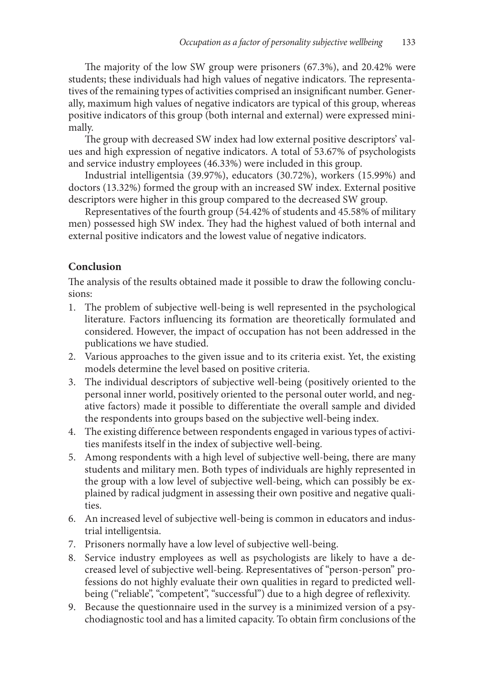The majority of the low SW group were prisoners (67.3%), and 20.42% were students; these individuals had high values of negative indicators. The representatives of the remaining types of activities comprised an insignificant number. Generally, maximum high values of negative indicators are typical of this group, whereas positive indicators of this group (both internal and external) were expressed minimally.

The group with decreased SW index had low external positive descriptors' values and high expression of negative indicators. A total of 53.67% of psychologists and service industry employees (46.33%) were included in this group.

Industrial intelligentsia (39.97%), educators (30.72%), workers (15.99%) and doctors (13.32%) formed the group with an increased SW index. External positive descriptors were higher in this group compared to the decreased SW group.

Representatives of the fourth group (54.42% of students and 45.58% of military men) possessed high SW index. They had the highest valued of both internal and external positive indicators and the lowest value of negative indicators.

# **Conclusion**

The analysis of the results obtained made it possible to draw the following conclusions:

- 1. The problem of subjective well-being is well represented in the psychological literature. Factors influencing its formation are theoretically formulated and considered. However, the impact of occupation has not been addressed in the publications we have studied.
- 2. Various approaches to the given issue and to its criteria exist. Yet, the existing models determine the level based on positive criteria.
- 3. The individual descriptors of subjective well-being (positively oriented to the personal inner world, positively oriented to the personal outer world, and negative factors) made it possible to differentiate the overall sample and divided the respondents into groups based on the subjective well-being index.
- 4. The existing difference between respondents engaged in various types of activities manifests itself in the index of subjective well-being.
- 5. Among respondents with a high level of subjective well-being, there are many students and military men. Both types of individuals are highly represented in the group with a low level of subjective well-being, which can possibly be explained by radical judgment in assessing their own positive and negative qualities.
- 6. An increased level of subjective well-being is common in educators and industrial intelligentsia.
- 7. Prisoners normally have a low level of subjective well-being.
- 8. Service industry employees as well as psychologists are likely to have a decreased level of subjective well-being. Representatives of "person-person" professions do not highly evaluate their own qualities in regard to predicted wellbeing ("reliable", "competent", "successful") due to a high degree of reflexivity.
- 9. Because the questionnaire used in the survey is a minimized version of a psychodiagnostic tool and has a limited capacity. To obtain firm conclusions of the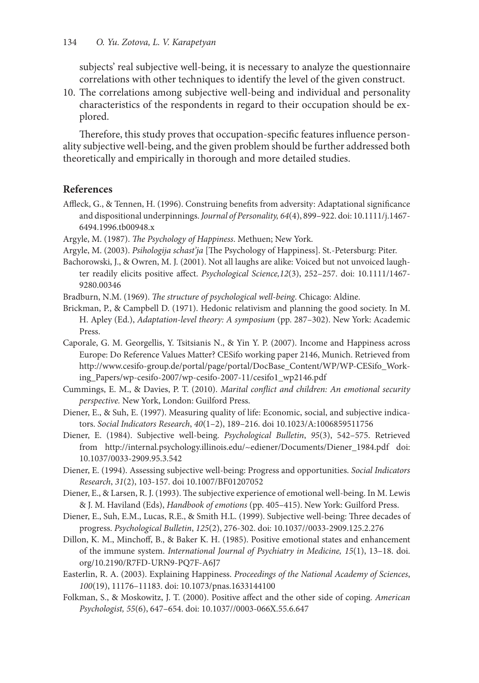subjects' real subjective well-being, it is necessary to analyze the questionnaire correlations with other techniques to identify the level of the given construct.

10. The correlations among subjective well-being and individual and personality characteristics of the respondents in regard to their occupation should be explored.

Therefore, this study proves that occupation-specific features influence personality subjective well-being, and the given problem should be further addressed both theoretically and empirically in thorough and more detailed studies.

#### **References**

- Affleck, G., & Tennen, H. (1996). Construing benefits from adversity: Adaptational significance and dispositional underpinnings. *Journal of Personality, 64*(4), 899–922. doi: 10.1111/j.1467- 6494.1996.tb00948.x
- Argyle, M. (1987). *The Psychology of Happiness*. Methuen; New York.
- Argyle, M. (2003). *Psihologija schast'ja* [The Psychology of Happiness]. St.-Petersburg: Piter.
- Bachorowski, J., & Owren, M. J. (2001). Not all laughs are alike: Voiced but not unvoiced laughter readily elicits positive affect. *Psychological Science,12*(3), 252–257. doi: 10.1111/1467- 9280.00346
- Bradburn, N.M. (1969). *The structure of psychological well-being*. Chicago: Aldine.
- Brickman, P., & Campbell D. (1971). Hedonic relativism and planning the good society. In M. H. Apley (Ed.), *Adaptation-level theory: A symposium* (pp. 287–302). New York: Academic Press.
- Caporale, G. M. Georgellis, Y. Tsitsianis N., & Yin Y. P. (2007). Income and Happiness across Europe: Do Reference Values Matter? CESifo working paper 2146, Munich. Retrieved from http://www.cesifo-group.de/portal/page/portal/DocBase\_Content/WP/WP-CESifo\_Working\_Papers/wp-cesifo-2007/wp-cesifo-2007-11/cesifo1\_wp2146.pdf
- Cummings, E. M., & Davies, P. T. (2010). *Marital conflict and children: An emotional security perspective.* New York, London: Guilford Press.
- Diener, E., & Suh, E. (1997). Measuring quality of life: Economic, social, and subjective indicators. *Social Indicators Research*, *40*(1–2), 189–216. doi 10.1023/A:1006859511756
- Diener, E. (1984). Subjective well-being. *Psychological Bulletin*, *95*(3), 542–575. Retrieved from http://internal.psychology.illinois.edu/~ediener/Documents/Diener\_1984.pdf doi: 10.1037/0033-2909.95.3.542
- Diener, E. (1994). Assessing subjective well-being: Progress and opportunities. *Social Indicators Research*, *31*(2), 103-157. doi 10.1007/BF01207052
- Diener, E., & Larsen, R. J. (1993). The subjective experience of emotional well-being. In M. Lewis & J. M. Haviland (Eds), *Handbook of emotions* (pp. 405–415). New York: Guilford Press.
- Diener, E., Suh, E.M., Lucas, R.E., & Smith H.L. (1999). Subjective well-being: Three decades of progress. *Psychological Bulletin*, *125*(2), 276-302. doi: 10.1037//0033-2909.125.2.276
- Dillon, K. М., Minchoff, B., & Baker K. H. (1985). Positive emotional states and enhancement of the immune system. *International Journal of Psychiatry in Medicine, 15*(1), 13–18. doi. org/10.2190/R7FD-URN9-PQ7F-A6J7
- Easterlin, R. A. (2003). Explaining Happiness. *Proceedings of the National Academy of Sciences*, *100*(19), 11176–11183. doi: 10.1073/pnas.1633144100
- Folkman, S., & Moskowitz, J. T. (2000). Positive affect and the other side of coping. *American Psychologist, 55*(6), 647–654. doi: 10.1037//0003-066X.55.6.647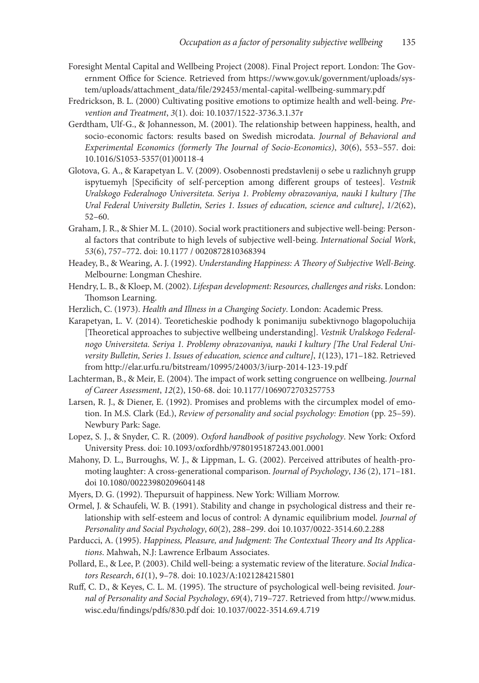- Foresight Mental Capital and Wellbeing Project (2008). Final Project report. London: The Government Office for Science. Retrieved from https://www.gov.uk/government/uploads/system/uploads/attachment\_data/file/292453/mental-capital-wellbeing-summary.pdf
- Fredrickson, B. L. (2000) Cultivating positive emotions to optimize health and well-being. *Prevention and Treatment*, *3*(1). doi: 10.1037/1522-3736.3.1.37r
- Gerdtham, Ulf-G., & Johannesson, M. (2001). The relationship between happiness, health, and socio-economic factors: results based on Swedish microdata. *Journal of Behavioral and Experimental Economics (formerly The Journal of Socio-Economics)*, *30*(6), 553–557. doi: 10.1016/S1053-5357(01)00118-4
- Glotova, G. A., & Karapetyan L. V. (2009). Osobennosti predstavlenij o sebe u razlichnyh grupp ispytuemyh [Specificity of self-perception among different groups of testees]. *Vestnik Uralskogo Federalnogo Universiteta. Seriya 1. Problemy obrazovaniya, nauki I kultury [The Ural Federal University Bulletin, Series 1. Issues of education, science and culture]*, *1/2*(62), 52–60.
- Graham, J. R., & Shier M. L. (2010). Social work practitioners and subjective well-being: Personal factors that contribute to high levels of subjective well-being. *International Social Work*, *53*(6), 757–772. doi: 10.1177 / 0020872810368394
- Headey, B., & Wearing, A. J. (1992). *Understanding Happiness: A Theory of Subjective Well-Being*. Melbourne: Longman Cheshire.
- Hendry, L. B., & Kloep, M. (2002). *Lifespan development: Resources, challenges and risks*. London: Thomson Learning.
- Herzlich, C. (1973). *Health and Illness in a Changing Society*. London: Academic Press.
- Karapetyan, L. V. (2014). Teoreticheskie podhody k ponimaniju subektivnogo blagopoluchija [Theoretical approaches to subjective wellbeing understanding]. *Vestnik Uralskogo Federalnogo Universiteta. Seriya 1. Problemy obrazovaniya, nauki I kultury [The Ural Federal University Bulletin, Series 1. Issues of education, science and culture]*, *1*(123), 171–182. Retrieved from http://elar.urfu.ru/bitstream/10995/24003/3/iurp-2014-123-19.pdf
- Lachterman, B., & Meir, E. (2004). The impact of work setting congruence on wellbeing. *Journal of Career Assessment*, *12*(2), 150-68. doi: 10.1177/1069072703257753
- Larsen, R. J., & Diener, E. (1992). Promises and problems with the circumplex model of emotion. In M.S. Clark (Ed.), *Review of personality and social psychology: Emotion* (pp. 25–59). Newbury Park: Sage.
- Lopez, S. J., & Snyder, C. R. (2009). *Oxford handbook of positive psychology*. New York: Oxford University Press. doi: 10.1093/oxfordhb/9780195187243.001.0001
- Mahony, D. L., Burroughs, W. J., & Lippman, L. G. (2002). Perceived attributes of health-promoting laughter: A cross-generational comparison. *Journal of Psychology*, *136* (2), 171–181. doi 10.1080/00223980209604148
- Myers, D. G. (1992). Thepursuit of happiness. New York: William Morrow.
- Ormel, J. & Schaufeli, W. B. (1991). Stability and change in psychological distress and their relationship with self-esteem and locus of control: A dynamic equilibrium model. *Journal of Personality and Social Psychology*, *60*(2), 288–299. doi 10.1037/0022-3514.60.2.288
- Parducci, A. (1995). *Happiness, Pleasure, and Judgment: The Contextual Theory and Its Applications*. Mahwah, N.J: Lawrence Erlbaum Associates.
- Pollard, E., & Lee, P. (2003). Child well-being: a systematic review of the literature. *Social Indicators Research*, *61*(1), 9–78. doi: 10.1023/A:1021284215801
- Ruff, C. D., & Keyes, C. L. M. (1995). The structure of psychological well-being revisited. *Journal of Personality and Social Psychology*, *69*(4), 719–727. Retrieved from http://www.midus. wisc.edu/findings/pdfs/830.pdf doi: 10.1037/0022-3514.69.4.719